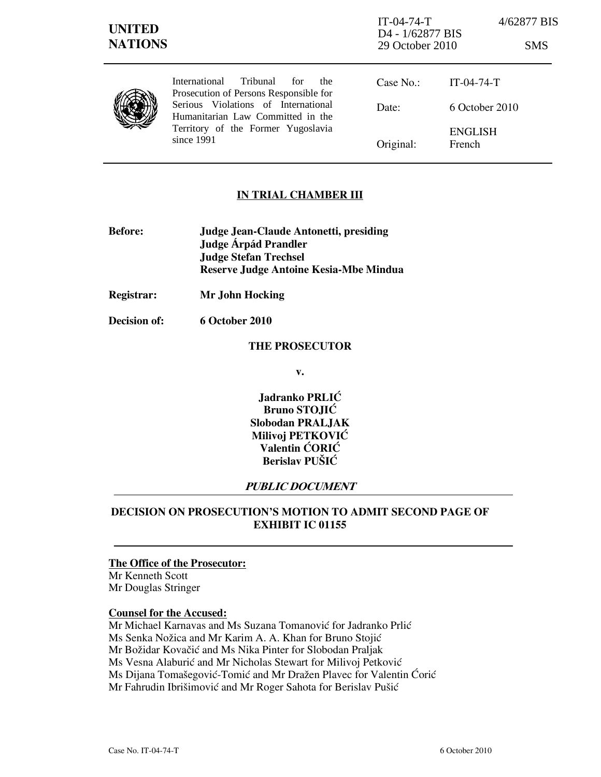| <b>UNITED</b><br><b>NATIONS</b> |                                                                                                                                                                                                                             | $IT-04-74-T$<br>D <sub>4</sub> - 1/62877 BIS<br>29 October 2010 |                          | 4/62877 BIS<br><b>SMS</b> |
|---------------------------------|-----------------------------------------------------------------------------------------------------------------------------------------------------------------------------------------------------------------------------|-----------------------------------------------------------------|--------------------------|---------------------------|
|                                 | Tribunal<br><b>International</b><br>for<br>the.<br>Prosecution of Persons Responsible for<br>Serious Violations of International<br>Humanitarian Law Committed in the<br>Territory of the Former Yugoslavia<br>since $1991$ | Case No.:                                                       | $IT-04-74-T$             |                           |
|                                 |                                                                                                                                                                                                                             | Date:                                                           | 6 October 2010           |                           |
|                                 |                                                                                                                                                                                                                             | Original:                                                       | <b>ENGLISH</b><br>French |                           |

## **IN TRIAL CHAMBER III**

- Before: Judge Jean-Claude Antonetti, presiding Judge **Árpád Prandler**  Judge Stefan Trechsel Reserve Judge Antoine Kesia-Mbe Mindua
- Registrar: Mr John Hocking

Decision of: 6 October 2010

### THE PROSECUTOR

v.

Jadranko PRLIĆ Bruno STOJIĆ Slobodan PRALJAK Milivoj PETKOVIĆ Valentin ĆORIĆ Berislav PUŠIĆ

## PUBLIC DOCUMENT

# DECISION ON PROSECUTION'S MOTION TO ADMIT SECOND PAGE OF EXHIBIT IC 01155

# The Office of the Prosecutor:

Mr Kenneth Scott Mr Douglas Stringer

#### Counsel for the Accused:

Mr Michael Karnavas and Ms Suzana Tomanović for Jadranko Prlić Ms Senka Nožica and Mr Karim A. A. Khan for Bruno Stojić Mr Božidar Kovačić and Ms Nika Pinter for Slobodan Praljak Ms Vesna Alaburić and Mr Nicholas Stewart for Milivoj Petković Ms Dijana Tomašegović-Tomić and Mr Dražen Plavec for Valentin Ćorić Mr Fahrudin Ibrišimović and Mr Roger Sahota for Berislav Pušić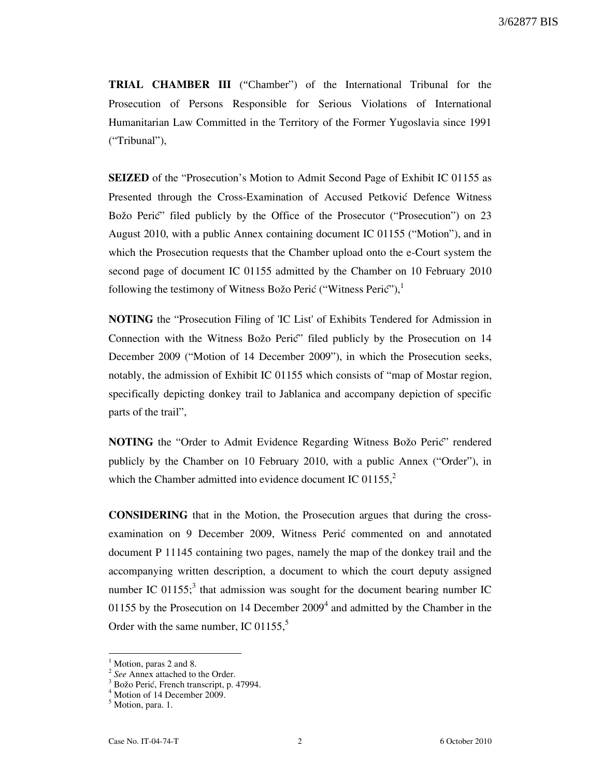TRIAL CHAMBER III ("Chamber") of the International Tribunal for the Prosecution of Persons Responsible for Serious Violations of International Humanitarian Law Committed in the Territory of the Former Yugoslavia since 1991 ("Tribunal"),

SEIZED of the "Prosecution's Motion to Admit Second Page of Exhibit IC 01155 as Presented through the Cross-Examination of Accused Petković Defence Witness Božo Perić" filed publicly by the Office of the Prosecutor ("Prosecution") on 23 August 2010, with a public Annex containing document IC 01155 ("Motion"), and in which the Prosecution requests that the Chamber upload onto the e-Court system the second page of document IC 01155 admitted by the Chamber on 10 February 2010 following the testimony of Witness Božo Perić ("Witness Perić"), $\frac{1}{2}$ 

NOTING the "Prosecution Filing of 'IC List' of Exhibits Tendered for Admission in Connection with the Witness Božo Perić" filed publicly by the Prosecution on 14 December 2009 ("Motion of 14 December 2009"), in which the Prosecution seeks, notably, the admission of Exhibit IC 01155 which consists of "map of Mostar region, specifically depicting donkey trail to Jablanica and accompany depiction of specific parts of the trail",

NOTING the "Order to Admit Evidence Regarding Witness Božo Perić" rendered publicly by the Chamber on 10 February 2010, with a public Annex ("Order"), in which the Chamber admitted into evidence document IC 01155, $2$ 

CONSIDERING that in the Motion, the Prosecution argues that during the crossexamination on 9 December 2009, Witness Perić commented on and annotated document P 11145 containing two pages, namely the map of the donkey trail and the accompanying written description, a document to which the court deputy assigned number IC 01155;<sup>3</sup> that admission was sought for the document bearing number IC 01155 by the Prosecution on 14 December  $2009<sup>4</sup>$  and admitted by the Chamber in the Order with the same number, IC 01155, $5$ 

 $\overline{a}$ 

<sup>&</sup>lt;sup>1</sup> Motion, paras 2 and 8.

<sup>&</sup>lt;sup>2</sup> See Annex attached to the Order.

<sup>&</sup>lt;sup>3</sup> Božo Perić, French transcript, p. 47994.

<sup>&</sup>lt;sup>4</sup> Motion of 14 December 2009.

<sup>&</sup>lt;sup>5</sup> Motion, para. 1.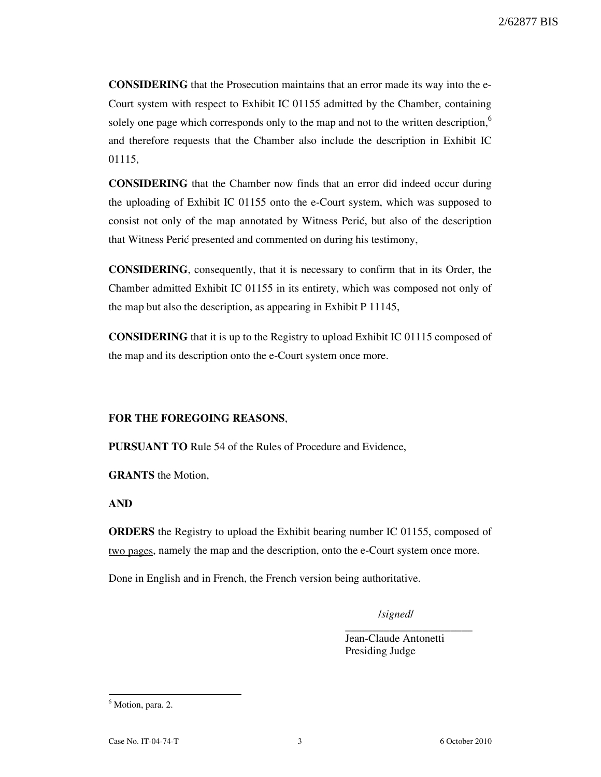CONSIDERING that the Prosecution maintains that an error made its way into the e-Court system with respect to Exhibit IC 01155 admitted by the Chamber, containing solely one page which corresponds only to the map and not to the written description,<sup>6</sup> and therefore requests that the Chamber also include the description in Exhibit IC 01115,

CONSIDERING that the Chamber now finds that an error did indeed occur during the uploading of Exhibit IC 01155 onto the e-Court system, which was supposed to consist not only of the map annotated by Witness Perić, but also of the description that Witness Perić presented and commented on during his testimony,

CONSIDERING, consequently, that it is necessary to confirm that in its Order, the Chamber admitted Exhibit IC 01155 in its entirety, which was composed not only of the map but also the description, as appearing in Exhibit P 11145,

CONSIDERING that it is up to the Registry to upload Exhibit IC 01115 composed of the map and its description onto the e-Court system once more.

#### FOR THE FOREGOING REASONS,

PURSUANT TO Rule 54 of the Rules of Procedure and Evidence,

GRANTS the Motion,

AND

ORDERS the Registry to upload the Exhibit bearing number IC 01155, composed of two pages, namely the map and the description, onto the e-Court system once more.

Done in English and in French, the French version being authoritative.

/signed/

\_\_\_\_\_\_\_\_\_\_\_\_\_\_\_\_\_\_\_\_\_\_\_

Jean-Claude Antonetti Presiding Judge

<sup>&</sup>lt;sup>6</sup> Motion, para. 2.